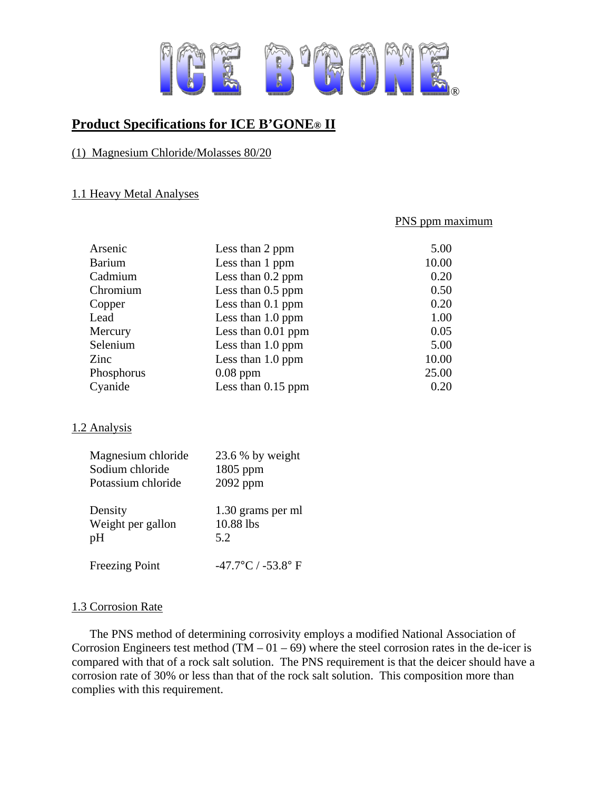

# **Product Specifications for ICE B'GONE® II**

## (1) Magnesium Chloride/Molasses 80/20

#### 1.1 Heavy Metal Analyses

#### PNS ppm maximum

| Arsenic<br><b>Barium</b><br>Cadmium | Less than 2 ppm<br>Less than 1 ppm<br>Less than $0.2$ ppm | 5.00<br>10.00<br>0.20 |
|-------------------------------------|-----------------------------------------------------------|-----------------------|
| Chromium                            | Less than $0.5$ ppm                                       | 0.50                  |
| Copper                              | Less than 0.1 ppm                                         | 0.20                  |
| Lead                                | Less than 1.0 ppm                                         | 1.00                  |
| Mercury                             | Less than $0.01$ ppm                                      | 0.05                  |
| Selenium                            | Less than 1.0 ppm                                         | 5.00                  |
| Zinc                                | Less than $1.0$ ppm                                       | 10.00                 |
| Phosphorus                          | $0.08$ ppm                                                | 25.00                 |
| Cyanide                             | Less than $0.15$ ppm                                      | 0.20                  |

#### 1.2 Analysis

| Magnesium chloride<br>Sodium chloride<br>Potassium chloride | 23.6 % by weight<br>1805 ppm<br>2092 ppm |
|-------------------------------------------------------------|------------------------------------------|
| Density<br>Weight per gallon<br>pH                          | 1.30 grams per ml<br>10.88 lbs<br>5.2    |
| <b>Freezing Point</b>                                       | $-47.7$ °C / $-53.8$ °F                  |

# 1.3 Corrosion Rate

The PNS method of determining corrosivity employs a modified National Association of Corrosion Engineers test method  $(TM - 01 - 69)$  where the steel corrosion rates in the de-icer is compared with that of a rock salt solution. The PNS requirement is that the deicer should have a corrosion rate of 30% or less than that of the rock salt solution. This composition more than complies with this requirement.